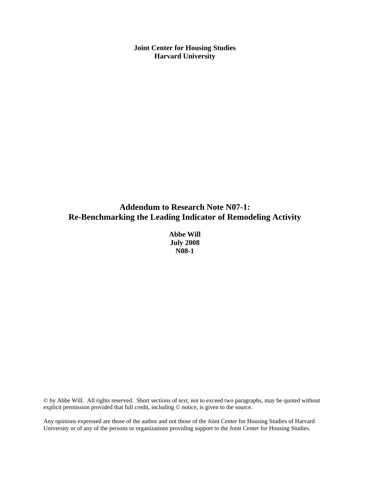**Joint Center for Housing Studies Harvard University** 

# **Addendum to Research Note N07-1: Re-Benchmarking the Leading Indicator of Remodeling Activity**

**Abbe Will July 2008 N08-1** 

© by Abbe Will. All rights reserved. Short sections of text, not to exceed two paragraphs, may be quoted without explicit permission provided that full credit, including © notice, is given to the source.

Any opinions expressed are those of the author and not those of the Joint Center for Housing Studies of Harvard University or of any of the persons or organizations providing support to the Joint Center for Housing Studies.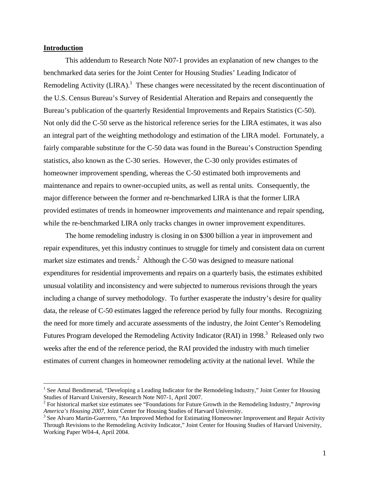## **Introduction**

<u>.</u>

This addendum to Research Note N07-1 provides an explanation of new changes to the benchmarked data series for the Joint Center for Housing Studies' Leading Indicator of Remodeling Activity (LIRA).<sup>1</sup> These changes were necessitated by the recent discontinuation of the U.S. Census Bureau's Survey of Residential Alteration and Repairs and consequently the Bureau's publication of the quarterly Residential Improvements and Repairs Statistics (C-50). Not only did the C-50 serve as the historical reference series for the LIRA estimates, it was also an integral part of the weighting methodology and estimation of the LIRA model. Fortunately, a fairly comparable substitute for the C-50 data was found in the Bureau's Construction Spending statistics, also known as the C-30 series. However, the C-30 only provides estimates of homeowner improvement spending, whereas the C-50 estimated both improvements and maintenance and repairs to owner-occupied units, as well as rental units. Consequently, the major difference between the former and re-benchmarked LIRA is that the former LIRA provided estimates of trends in homeowner improvements *and* maintenance and repair spending, while the re-benchmarked LIRA only tracks changes in owner improvement expenditures.

The home remodeling industry is closing in on \$300 billion a year in improvement and repair expenditures, yet this industry continues to struggle for timely and consistent data on current market size estimates and trends. $^2$  Although the C-50 was designed to measure national expenditures for residential improvements and repairs on a quarterly basis, the estimates exhibited unusual volatility and inconsistency and were subjected to numerous revisions through the years including a change of survey methodology. To further exasperate the industry's desire for quality data, the release of C-50 estimates lagged the reference period by fully four months. Recognizing the need for more timely and accurate assessments of the industry, the Joint Center's Remodeling Futures Program developed the Remodeling Activity Indicator (RAI) in 1998.<sup>3</sup> Released only two weeks after the end of the reference period, the RAI provided the industry with much timelier estimates of current changes in homeowner remodeling activity at the national level. While the

<sup>&</sup>lt;sup>1</sup> See Amal Bendimerad, "Developing a Leading Indicator for the Remodeling Industry," Joint Center for Housing Studies of Harvard University, Research Note N07-1, April 2007.

<sup>2</sup> For historical market size estimates see "Foundations for Future Growth in the Remodeling Industry," *Improving America's Housing 2007,* Joint Center for Housing Studies of Harvard University. 3

<sup>&</sup>lt;sup>3</sup> See Alvaro Martin-Guerrero, "An Improved Method for Estimating Homeowner Improvement and Repair Activity Through Revisions to the Remodeling Activity Indicator," Joint Center for Housing Studies of Harvard University, Working Paper W04-4, April 2004.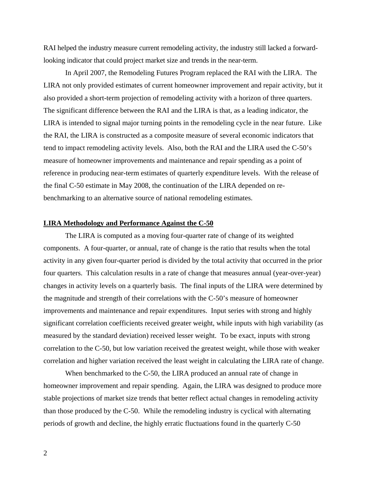RAI helped the industry measure current remodeling activity, the industry still lacked a forwardlooking indicator that could project market size and trends in the near-term.

In April 2007, the Remodeling Futures Program replaced the RAI with the LIRA. The LIRA not only provided estimates of current homeowner improvement and repair activity, but it also provided a short-term projection of remodeling activity with a horizon of three quarters. The significant difference between the RAI and the LIRA is that, as a leading indicator, the LIRA is intended to signal major turning points in the remodeling cycle in the near future. Like the RAI, the LIRA is constructed as a composite measure of several economic indicators that tend to impact remodeling activity levels. Also, both the RAI and the LIRA used the C-50's measure of homeowner improvements and maintenance and repair spending as a point of reference in producing near-term estimates of quarterly expenditure levels. With the release of the final C-50 estimate in May 2008, the continuation of the LIRA depended on rebenchmarking to an alternative source of national remodeling estimates.

## **LIRA Methodology and Performance Against the C-50**

 The LIRA is computed as a moving four-quarter rate of change of its weighted components. A four-quarter, or annual, rate of change is the ratio that results when the total activity in any given four-quarter period is divided by the total activity that occurred in the prior four quarters. This calculation results in a rate of change that measures annual (year-over-year) changes in activity levels on a quarterly basis. The final inputs of the LIRA were determined by the magnitude and strength of their correlations with the C-50's measure of homeowner improvements and maintenance and repair expenditures. Input series with strong and highly significant correlation coefficients received greater weight, while inputs with high variability (as measured by the standard deviation) received lesser weight. To be exact, inputs with strong correlation to the C-50, but low variation received the greatest weight, while those with weaker correlation and higher variation received the least weight in calculating the LIRA rate of change.

When benchmarked to the C-50, the LIRA produced an annual rate of change in homeowner improvement and repair spending. Again, the LIRA was designed to produce more stable projections of market size trends that better reflect actual changes in remodeling activity than those produced by the C-50. While the remodeling industry is cyclical with alternating periods of growth and decline, the highly erratic fluctuations found in the quarterly C-50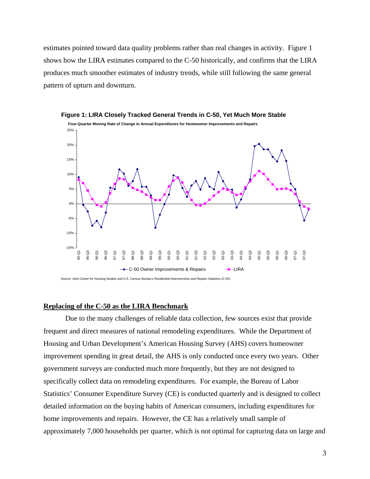estimates pointed toward data quality problems rather than real changes in activity. Figure 1 shows how the LIRA estimates compared to the C-50 historically, and confirms that the LIRA produces much smoother estimates of industry trends, while still following the same general pattern of upturn and downturn.





## **Replacing of the C-50 as the LIRA Benchmark**

Due to the many challenges of reliable data collection, few sources exist that provide frequent and direct measures of national remodeling expenditures. While the Department of Housing and Urban Development's American Housing Survey (AHS) covers homeowner improvement spending in great detail, the AHS is only conducted once every two years. Other government surveys are conducted much more frequently, but they are not designed to specifically collect data on remodeling expenditures. For example, the Bureau of Labor Statistics' Consumer Expenditure Survey (CE) is conducted quarterly and is designed to collect detailed information on the buying habits of American consumers, including expenditures for home improvements and repairs. However, the CE has a relatively small sample of approximately 7,000 households per quarter, which is not optimal for capturing data on large and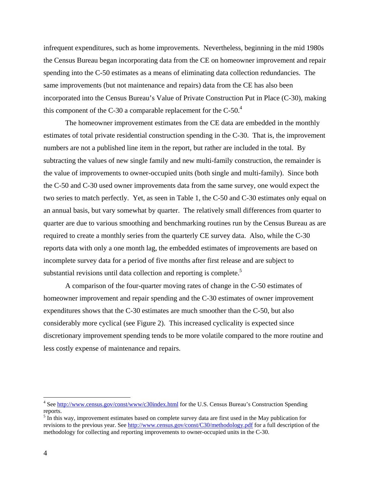infrequent expenditures, such as home improvements. Nevertheless, beginning in the mid 1980s the Census Bureau began incorporating data from the CE on homeowner improvement and repair spending into the C-50 estimates as a means of eliminating data collection redundancies. The same improvements (but not maintenance and repairs) data from the CE has also been incorporated into the Census Bureau's Value of Private Construction Put in Place (C-30), making this component of the C-30 a comparable replacement for the  $C-50<sup>4</sup>$ 

The homeowner improvement estimates from the CE data are embedded in the monthly estimates of total private residential construction spending in the C-30. That is, the improvement numbers are not a published line item in the report, but rather are included in the total. By subtracting the values of new single family and new multi-family construction, the remainder is the value of improvements to owner-occupied units (both single and multi-family). Since both the C-50 and C-30 used owner improvements data from the same survey, one would expect the two series to match perfectly. Yet, as seen in Table 1, the C-50 and C-30 estimates only equal on an annual basis, but vary somewhat by quarter. The relatively small differences from quarter to quarter are due to various smoothing and benchmarking routines run by the Census Bureau as are required to create a monthly series from the quarterly CE survey data. Also, while the C-30 reports data with only a one month lag, the embedded estimates of improvements are based on incomplete survey data for a period of five months after first release and are subject to substantial revisions until data collection and reporting is complete.<sup>5</sup>

 A comparison of the four-quarter moving rates of change in the C-50 estimates of homeowner improvement and repair spending and the C-30 estimates of owner improvement expenditures shows that the C-30 estimates are much smoother than the C-50, but also considerably more cyclical (see Figure 2). This increased cyclicality is expected since discretionary improvement spending tends to be more volatile compared to the more routine and less costly expense of maintenance and repairs.

 $\overline{a}$ 

<sup>&</sup>lt;sup>4</sup> See http://www.census.gov/const/www/c30index.html for the U.S. Census Bureau's Construction Spending reports.

 $<sup>5</sup>$  In this way, improvement estimates based on complete survey data are first used in the May publication for</sup> revisions to the previous year. See http://www.census.gov/const/C30/methodology.pdf for a full description of the methodology for collecting and reporting improvements to owner-occupied units in the C-30.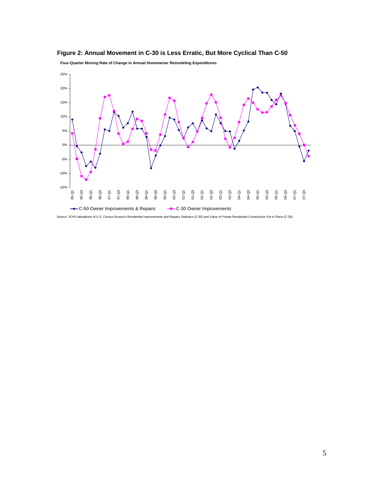

**Four-Quarter Moving Rate of Change in Annual Homeowner Remodeling Expenditures**



Source: JCHS tabulations of U.S. Census Bureau's Residential Improvements and Repairs Statistics (C-50) and Value of Private Residential Construction Put in Place (C-30).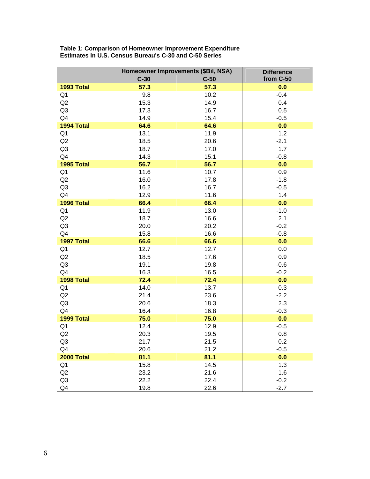|                | Homeowner Improvements (\$Bil, NSA) | <b>Difference</b> |           |  |
|----------------|-------------------------------------|-------------------|-----------|--|
|                | $C-30$                              | $C-50$            | from C-50 |  |
| 1993 Total     | 57.3                                | 57.3              | 0.0       |  |
| Q <sub>1</sub> | 9.8                                 | 10.2              | $-0.4$    |  |
| Q2             | 15.3                                | 14.9              | 0.4       |  |
| Q <sub>3</sub> | 17.3                                | 16.7              | 0.5       |  |
| Q4             | 14.9                                | 15.4              | $-0.5$    |  |
| 1994 Total     | 64.6                                | 64.6              | 0.0       |  |
| Q1             | 13.1                                | 11.9              | 1.2       |  |
| Q <sub>2</sub> | 18.5                                | 20.6              | $-2.1$    |  |
| Q <sub>3</sub> | 18.7                                | 17.0              | 1.7       |  |
| Q4             | 14.3                                | 15.1              | $-0.8$    |  |
| 1995 Total     | 56.7                                | 56.7              | 0.0       |  |
| Q1             | 11.6                                | 10.7              | 0.9       |  |
| Q <sub>2</sub> | 16.0                                | 17.8              | $-1.8$    |  |
| Q <sub>3</sub> | 16.2                                | 16.7              | $-0.5$    |  |
| Q4             | 12.9                                | 11.6              | 1.4       |  |
| 1996 Total     | 66.4                                | 66.4              | 0.0       |  |
| Q1             | 11.9                                | 13.0              | $-1.0$    |  |
| Q2             | 18.7                                | 16.6              | 2.1       |  |
| Q3             | 20.0                                | 20.2              | $-0.2$    |  |
| Q4             | 15.8                                | 16.6              | $-0.8$    |  |
| 1997 Total     | 66.6                                | 66.6              | 0.0       |  |
| Q <sub>1</sub> | 12.7                                | 12.7              | 0.0       |  |
| Q2             | 18.5                                | 17.6              | 0.9       |  |
| Q <sub>3</sub> | 19.1                                | 19.8              | $-0.6$    |  |
| Q4             | 16.3                                | 16.5              | $-0.2$    |  |
| 1998 Total     | 72.4                                | 72.4              | 0.0       |  |
| Q1             | 14.0                                | 13.7              | 0.3       |  |
| Q <sub>2</sub> | 21.4                                | 23.6              | $-2.2$    |  |
| Q <sub>3</sub> | 20.6                                | 18.3              | 2.3       |  |
| Q4             | 16.4                                | 16.8              | $-0.3$    |  |
| 1999 Total     | 75.0                                | 75.0              | 0.0       |  |
| Q1             | 12.4                                | 12.9              | $-0.5$    |  |
| Q2             | 20.3                                | 19.5              | 0.8       |  |
| Q <sub>3</sub> | 21.7                                | 21.5              | 0.2       |  |
| Q4             | 20.6                                | 21.2              | $-0.5$    |  |
| 2000 Total     | 81.1                                | 81.1              | 0.0       |  |
| Q <sub>1</sub> | 15.8                                | 14.5              | 1.3       |  |
| Q2             | 23.2                                | 21.6              | 1.6       |  |
| Q3             | 22.2                                | 22.4              | $-0.2$    |  |
| Q <sub>4</sub> | 19.8                                | 22.6              | $-2.7$    |  |

**Table 1: Comparison of Homeowner Improvement Expenditure Estimates in U.S. Census Bureau's C-30 and C-50 Series**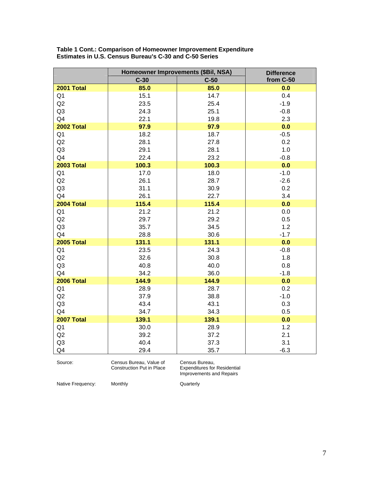|                | Homeowner Improvements (\$Bil, NSA) | <b>Difference</b> |           |  |
|----------------|-------------------------------------|-------------------|-----------|--|
|                | $C-30$                              | $C-50$            | from C-50 |  |
| 2001 Total     | 85.0                                | 85.0              | 0.0       |  |
| Q <sub>1</sub> | 15.1                                | 14.7              | 0.4       |  |
| Q2             | 23.5                                | 25.4              | $-1.9$    |  |
| Q <sub>3</sub> | 24.3                                | 25.1              | $-0.8$    |  |
| Q4             | 22.1                                | 19.8              | 2.3       |  |
| 2002 Total     | 97.9                                | 97.9              | 0.0       |  |
| Q <sub>1</sub> | 18.2                                | 18.7              | $-0.5$    |  |
| Q2             | 28.1                                | 27.8              | 0.2       |  |
| Q <sub>3</sub> | 29.1                                | 28.1              | 1.0       |  |
| Q4             | 22.4                                | 23.2              | $-0.8$    |  |
| 2003 Total     | 100.3                               | 100.3             | 0.0       |  |
| Q <sub>1</sub> | 17.0                                | 18.0              | $-1.0$    |  |
| Q2             | 26.1                                | 28.7              | $-2.6$    |  |
| Q <sub>3</sub> | 31.1                                | 30.9              | 0.2       |  |
| Q <sub>4</sub> | 26.1                                | 22.7              | 3.4       |  |
| 2004 Total     | 115.4                               | 115.4             | 0.0       |  |
| Q <sub>1</sub> | 21.2                                | 21.2              | 0.0       |  |
| Q2             | 29.7                                | 29.2              | 0.5       |  |
| Q <sub>3</sub> | 35.7                                | 34.5              | 1.2       |  |
| Q4             | 28.8                                | 30.6              | $-1.7$    |  |
| 2005 Total     | 131.1                               | 131.1             | 0.0       |  |
| Q <sub>1</sub> | 23.5                                | 24.3              | $-0.8$    |  |
| Q2             | 32.6                                | 30.8              | 1.8       |  |
| Q <sub>3</sub> | 40.8                                | 40.0              | 0.8       |  |
| Q4             | 34.2                                | 36.0              | $-1.8$    |  |
| 2006 Total     | 144.9                               | 144.9             | 0.0       |  |
| Q <sub>1</sub> | 28.9                                | 28.7              | 0.2       |  |
| Q2             | 37.9                                | 38.8              | $-1.0$    |  |
| Q <sub>3</sub> | 43.4                                | 43.1              | 0.3       |  |
| Q4             | 34.7                                | 34.3              | 0.5       |  |
| 2007 Total     | 139.1                               | 139.1             | 0.0       |  |
| Q <sub>1</sub> | 30.0                                | 28.9              | 1.2       |  |
| Q2             | 39.2                                | 37.2              | 2.1       |  |
| Q <sub>3</sub> | 40.4                                | 37.3              | 3.1       |  |
| Q4             | 29.4                                | 35.7              | $-6.3$    |  |
|                |                                     |                   |           |  |

#### **Table 1 Cont.: Comparison of Homeowner Improvement Expenditure Estimates in U.S. Census Bureau's C-30 and C-50 Series**

Source: Census Bureau, Value of Construction Put in Place Census Bureau, Expenditures for Residential Improvements and Repairs

Native Frequency: Monthly Mative Frequency: Monthly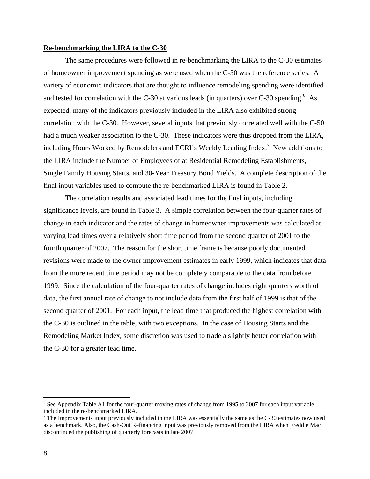### **Re-benchmarking the LIRA to the C-30**

 The same procedures were followed in re-benchmarking the LIRA to the C-30 estimates of homeowner improvement spending as were used when the C-50 was the reference series. A variety of economic indicators that are thought to influence remodeling spending were identified and tested for correlation with the C-30 at various leads (in quarters) over C-30 spending.<sup>6</sup> As expected, many of the indicators previously included in the LIRA also exhibited strong correlation with the C-30. However, several inputs that previously correlated well with the C-50 had a much weaker association to the C-30. These indicators were thus dropped from the LIRA, including Hours Worked by Remodelers and ECRI's Weekly Leading Index.<sup>7</sup> New additions to the LIRA include the Number of Employees of at Residential Remodeling Establishments, Single Family Housing Starts, and 30-Year Treasury Bond Yields. A complete description of the final input variables used to compute the re-benchmarked LIRA is found in Table 2.

 The correlation results and associated lead times for the final inputs, including significance levels, are found in Table 3. A simple correlation between the four-quarter rates of change in each indicator and the rates of change in homeowner improvements was calculated at varying lead times over a relatively short time period from the second quarter of 2001 to the fourth quarter of 2007. The reason for the short time frame is because poorly documented revisions were made to the owner improvement estimates in early 1999, which indicates that data from the more recent time period may not be completely comparable to the data from before 1999. Since the calculation of the four-quarter rates of change includes eight quarters worth of data, the first annual rate of change to not include data from the first half of 1999 is that of the second quarter of 2001. For each input, the lead time that produced the highest correlation with the C-30 is outlined in the table, with two exceptions. In the case of Housing Starts and the Remodeling Market Index, some discretion was used to trade a slightly better correlation with the C-30 for a greater lead time.

 $\overline{a}$ 

<sup>&</sup>lt;sup>6</sup> See Appendix Table A1 for the four-quarter moving rates of change from 1995 to 2007 for each input variable included in the re-benchmarked LIRA.

 $7$  The Improvements input previously included in the LIRA was essentially the same as the C-30 estimates now used as a benchmark. Also, the Cash-Out Refinancing input was previously removed from the LIRA when Freddie Mac discontinued the publishing of quarterly forecasts in late 2007.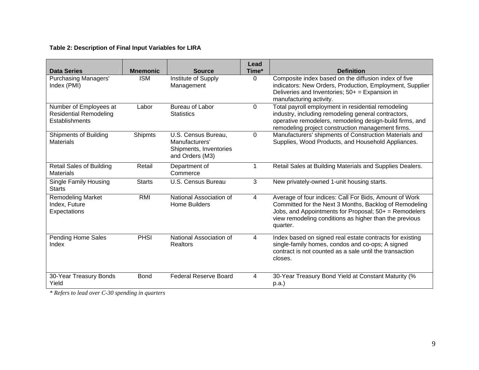## **Table 2: Description of Final Input Variables for LIRA**

| <b>Data Series</b>                                                               | <b>Mnemonic</b> | <b>Source</b>                                                                      | Lead<br>Time* | <b>Definition</b>                                                                                                                                                                                                                                 |
|----------------------------------------------------------------------------------|-----------------|------------------------------------------------------------------------------------|---------------|---------------------------------------------------------------------------------------------------------------------------------------------------------------------------------------------------------------------------------------------------|
| <b>Purchasing Managers'</b><br>Index (PMI)                                       | <b>ISM</b>      | Institute of Supply<br>Management                                                  | $\Omega$      | Composite index based on the diffusion index of five<br>indicators: New Orders, Production, Employment, Supplier<br>Deliveries and Inventories; $50+$ = Expansion in<br>manufacturing activity.                                                   |
| Number of Employees at<br><b>Residential Remodeling</b><br><b>Establishments</b> | Labor           | <b>Bureau of Labor</b><br><b>Statistics</b>                                        | 0             | Total payroll employment in residential remodeling<br>industry, including remodeling general contractors,<br>operative remodelers, remodeling design-build firms, and<br>remodeling project construction management firms.                        |
| <b>Shipments of Building</b><br><b>Materials</b>                                 | <b>Shipmts</b>  | U.S. Census Bureau,<br>Manufacturers'<br>Shipments, Inventories<br>and Orders (M3) | 0             | Manufacturers' shipments of Construction Materials and<br>Supplies, Wood Products, and Household Appliances.                                                                                                                                      |
| <b>Retail Sales of Building</b><br><b>Materials</b>                              | Retail          | Department of<br>Commerce                                                          | 1             | Retail Sales at Building Materials and Supplies Dealers.                                                                                                                                                                                          |
| <b>Single Family Housing</b><br><b>Starts</b>                                    | <b>Starts</b>   | U.S. Census Bureau                                                                 | 3             | New privately-owned 1-unit housing starts.                                                                                                                                                                                                        |
| <b>Remodeling Market</b><br>Index, Future<br>Expectations                        | <b>RMI</b>      | National Association of<br><b>Home Builders</b>                                    | 4             | Average of four indices: Call For Bids, Amount of Work<br>Committed for the Next 3 Months, Backlog of Remodeling<br>Jobs, and Appointments for Proposal; $50+$ = Remodelers<br>view remodeling conditions as higher than the previous<br>quarter. |
| <b>Pending Home Sales</b><br>Index                                               | PHSI            | National Association of<br>Realtors                                                | 4             | Index based on signed real estate contracts for existing<br>single-family homes, condos and co-ops; A signed<br>contract is not counted as a sale until the transaction<br>closes.                                                                |
| 30-Year Treasury Bonds<br>Yield                                                  | <b>Bond</b>     | <b>Federal Reserve Board</b>                                                       | 4             | 30-Year Treasury Bond Yield at Constant Maturity (%<br>p.a.                                                                                                                                                                                       |

*\* Refers to lead over C-30 spending in quarters*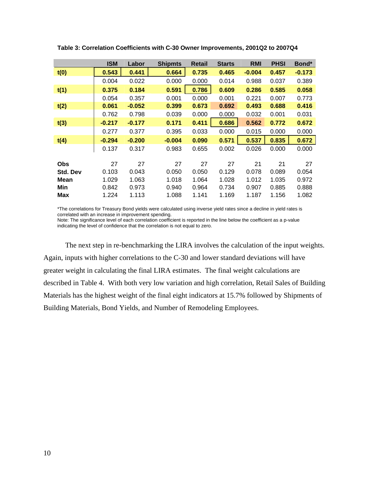|                 | <b>ISM</b> | Labor    | <b>Shipmts</b> | <b>Retail</b> | <b>Starts</b> | <b>RMI</b> | <b>PHSI</b> | Bond*    |
|-----------------|------------|----------|----------------|---------------|---------------|------------|-------------|----------|
| t(0)            | 0.543      | 0.441    | 0.664          | 0.735         | 0.465         | $-0.004$   | 0.457       | $-0.173$ |
|                 | 0.004      | 0.022    | 0.000          | 0.000         | 0.014         | 0.988      | 0.037       | 0.389    |
| t(1)            | 0.375      | 0.184    | 0.591          | 0.786         | 0.609         | 0.286      | 0.585       | 0.058    |
|                 | 0.054      | 0.357    | 0.001          | 0.000         | 0.001         | 0.221      | 0.007       | 0.773    |
| t(2)            | 0.061      | $-0.052$ | 0.399          | 0.673         | 0.692         | 0.493      | 0.688       | 0.416    |
|                 | 0.762      | 0.798    | 0.039          | 0.000         | 0.000         | 0.032      | 0.001       | 0.031    |
| t(3)            | $-0.217$   | $-0.177$ | 0.171          | 0.411         | 0.686         | 0.562      | 0.772       | 0.672    |
|                 | 0.277      | 0.377    | 0.395          | 0.033         | 0.000         | 0.015      | 0.000       | 0.000    |
| t(4)            | $-0.294$   | $-0.200$ | $-0.004$       | 0.090         | 0.571         | 0.537      | 0.835       | 0.672    |
|                 | 0.137      | 0.317    | 0.983          | 0.655         | 0.002         | 0.026      | 0.000       | 0.000    |
|                 |            |          |                |               |               |            |             |          |
| <b>Obs</b>      | 27         | 27       | 27             | 27            | 27            | 21         | 21          | 27       |
| <b>Std. Dev</b> | 0.103      | 0.043    | 0.050          | 0.050         | 0.129         | 0.078      | 0.089       | 0.054    |
| Mean            | 1.029      | 1.063    | 1.018          | 1.064         | 1.028         | 1.012      | 1.035       | 0.972    |
| Min             | 0.842      | 0.973    | 0.940          | 0.964         | 0.734         | 0.907      | 0.885       | 0.888    |
| Max             | 1.224      | 1.113    | 1.088          | 1.141         | 1.169         | 1.187      | 1.156       | 1.082    |

**Table 3: Correlation Coefficients with C-30 Owner Improvements, 2001Q2 to 2007Q4** 

\*The correlations for Treasury Bond yields were calculated using inverse yield rates since a decline in yield rates is correlated with an increase in improvement spending.

Note: The significance level of each correlation coefficient is reported in the line below the coefficient as a p-value indicating the level of confidence that the correlation is not equal to zero.

The next step in re-benchmarking the LIRA involves the calculation of the input weights. Again, inputs with higher correlations to the C-30 and lower standard deviations will have greater weight in calculating the final LIRA estimates. The final weight calculations are described in Table 4. With both very low variation and high correlation, Retail Sales of Building Materials has the highest weight of the final eight indicators at 15.7% followed by Shipments of Building Materials, Bond Yields, and Number of Remodeling Employees.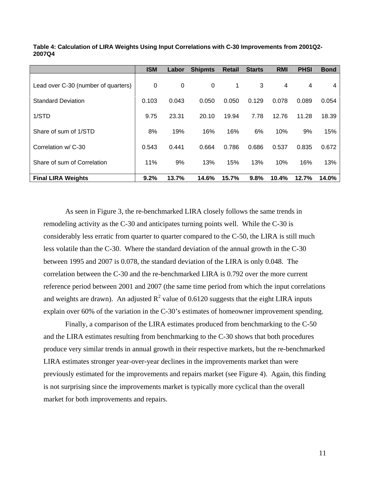|                                     | <b>ISM</b>  | Labor | <b>Shipmts</b> | <b>Retail</b> | <b>Starts</b> | <b>RMI</b> | <b>PHSI</b> | <b>Bond</b> |
|-------------------------------------|-------------|-------|----------------|---------------|---------------|------------|-------------|-------------|
| Lead over C-30 (number of quarters) | $\mathbf 0$ | 0     | 0              | 1             | 3             | 4          | 4           | 4           |
| <b>Standard Deviation</b>           | 0.103       | 0.043 | 0.050          | 0.050         | 0.129         | 0.078      | 0.089       | 0.054       |
| 1/STD                               | 9.75        | 23.31 | 20.10          | 19.94         | 7.78          | 12.76      | 11.28       | 18.39       |
| Share of sum of 1/STD               | 8%          | 19%   | 16%            | 16%           | 6%            | 10%        | 9%          | 15%         |
|                                     |             |       |                |               |               |            |             |             |
| Correlation w/ C-30                 | 0.543       | 0.441 | 0.664          | 0.786         | 0.686         | 0.537      | 0.835       | 0.672       |
| Share of sum of Correlation         | 11%         | 9%    | 13%            | 15%           | 13%           | 10%        | 16%         | 13%         |
| <b>Final LIRA Weights</b>           | 9.2%        | 13.7% | 14.6%          | 15.7%         | 9.8%          | 10.4%      | 12.7%       | 14.0%       |

**Table 4: Calculation of LIRA Weights Using Input Correlations with C-30 Improvements from 2001Q2- 2007Q4** 

 As seen in Figure 3, the re-benchmarked LIRA closely follows the same trends in remodeling activity as the C-30 and anticipates turning points well. While the C-30 is considerably less erratic from quarter to quarter compared to the C-50, the LIRA is still much less volatile than the C-30. Where the standard deviation of the annual growth in the C-30 between 1995 and 2007 is 0.078, the standard deviation of the LIRA is only 0.048. The correlation between the C-30 and the re-benchmarked LIRA is 0.792 over the more current reference period between 2001 and 2007 (the same time period from which the input correlations and weights are drawn). An adjusted  $R^2$  value of 0.6120 suggests that the eight LIRA inputs explain over 60% of the variation in the C-30's estimates of homeowner improvement spending.

 Finally, a comparison of the LIRA estimates produced from benchmarking to the C-50 and the LIRA estimates resulting from benchmarking to the C-30 shows that both procedures produce very similar trends in annual growth in their respective markets, but the re-benchmarked LIRA estimates stronger year-over-year declines in the improvements market than were previously estimated for the improvements and repairs market (see Figure 4). Again, this finding is not surprising since the improvements market is typically more cyclical than the overall market for both improvements and repairs.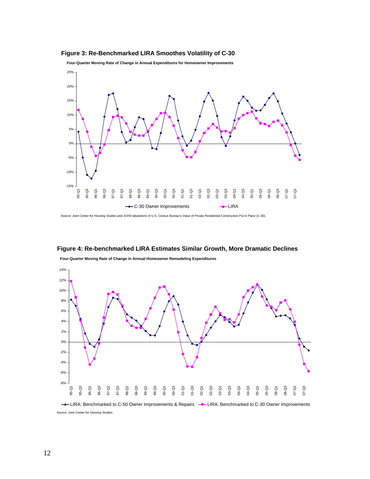



**Four-Quarter Moving Rate of Change in Annual Expenditures for Homeowner Improvements**

Source: Joint Center for Housing Studies and JCHS tabulations of U.S. Census Bureau's Value of Private Residential Construction Put in Place (C-30).



**Figure 4: Re-benchmarked LIRA Estimates Similar Growth, More Dramatic Declines**

**Four-Quarter Moving Rate of Change in Annual Homeowner Remodeling Expenditures**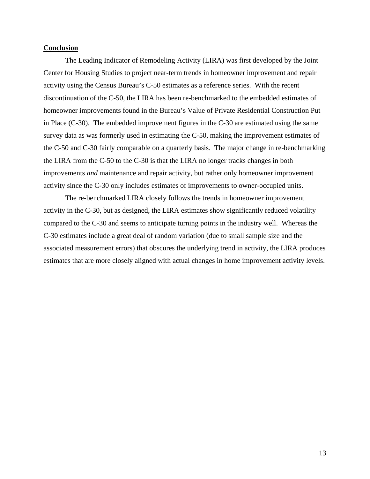## **Conclusion**

 The Leading Indicator of Remodeling Activity (LIRA) was first developed by the Joint Center for Housing Studies to project near-term trends in homeowner improvement and repair activity using the Census Bureau's C-50 estimates as a reference series. With the recent discontinuation of the C-50, the LIRA has been re-benchmarked to the embedded estimates of homeowner improvements found in the Bureau's Value of Private Residential Construction Put in Place (C-30). The embedded improvement figures in the C-30 are estimated using the same survey data as was formerly used in estimating the C-50, making the improvement estimates of the C-50 and C-30 fairly comparable on a quarterly basis. The major change in re-benchmarking the LIRA from the C-50 to the C-30 is that the LIRA no longer tracks changes in both improvements *and* maintenance and repair activity, but rather only homeowner improvement activity since the C-30 only includes estimates of improvements to owner-occupied units.

 The re-benchmarked LIRA closely follows the trends in homeowner improvement activity in the C-30, but as designed, the LIRA estimates show significantly reduced volatility compared to the C-30 and seems to anticipate turning points in the industry well. Whereas the C-30 estimates include a great deal of random variation (due to small sample size and the associated measurement errors) that obscures the underlying trend in activity, the LIRA produces estimates that are more closely aligned with actual changes in home improvement activity levels.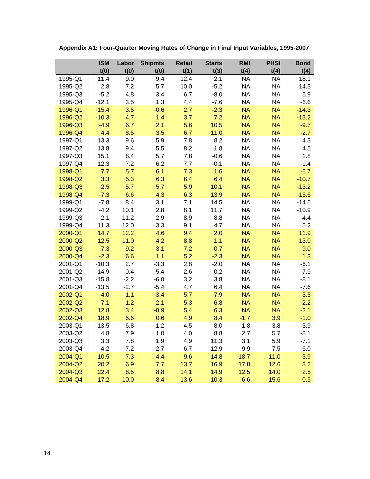|         | <b>ISM</b> | Labor  | <b>Shipmts</b> | <b>Retail</b> | <b>Starts</b> | <b>RMI</b> | <b>PHSI</b> | <b>Bond</b> |
|---------|------------|--------|----------------|---------------|---------------|------------|-------------|-------------|
|         | t(0)       | t(0)   | t(0)           | t(1)          | t(3)          | t(4)       | t(4)        | t(4)        |
| 1995-Q1 | 11.4       | 9.0    | 9.4            | 12.4          | 2.1           | <b>NA</b>  | <b>NA</b>   | 18.1        |
| 1995-Q2 | 2.8        | 7.2    | 5.7            | 10.0          | $-5.2$        | <b>NA</b>  | <b>NA</b>   | 14.3        |
| 1995-Q3 | $-5.2$     | 4.8    | 3.4            | 6.7           | $-8.0$        | <b>NA</b>  | <b>NA</b>   | 5.9         |
| 1995-Q4 | $-12.1$    | 3.5    | 1.3            | 4.4           | $-7.6$        | <b>NA</b>  | <b>NA</b>   | $-6.6$      |
| 1996-Q1 | $-15.4$    | 3.5    | $-0.6$         | 2.7           | $-2.3$        | <b>NA</b>  | <b>NA</b>   | $-14.3$     |
| 1996-Q2 | $-10.3$    | 4.7    | 1.4            | 3.7           | 7.2           | <b>NA</b>  | <b>NA</b>   | $-13.2$     |
| 1996-Q3 | $-4.9$     | 6.7    | 2.1            | 5.6           | 10.5          | <b>NA</b>  | <b>NA</b>   | $-9.7$      |
| 1996-Q4 | 4.4        | 8.5    | 3.5            | 6.7           | 11.0          | <b>NA</b>  | <b>NA</b>   | $-2.7$      |
| 1997-Q1 | 13.3       | 9.6    | 5.9            | 7.8           | 8.2           | <b>NA</b>  | <b>NA</b>   | 4.3         |
| 1997-Q2 | 13.8       | 9.4    | 5.5            | 8.2           | 1.8           | <b>NA</b>  | <b>NA</b>   | 4.5         |
| 1997-Q3 | 15.1       | 8.4    | 5.7            | 7.8           | $-0.6$        | <b>NA</b>  | <b>NA</b>   | 1.8         |
| 1997-Q4 | 12.3       | 7.2    | 6.2            | 7.7           | $-0.1$        | <b>NA</b>  | <b>NA</b>   | $-1.4$      |
| 1998-Q1 | 7.7        | 5.7    | 6.1            | 7.3           | 1.6           | <b>NA</b>  | <b>NA</b>   | $-6.7$      |
| 1998-Q2 | 3.3        | 5.3    | 6.3            | 6.4           | 6.4           | <b>NA</b>  | <b>NA</b>   | $-10.7$     |
| 1998-Q3 | $-2.5$     | 5.7    | 5.7            | 5.9           | 10.1          | <b>NA</b>  | <b>NA</b>   | $-13.2$     |
| 1998-Q4 | $-7.3$     | 6.6    | 4.3            | 6.3           | 13.9          | <b>NA</b>  | <b>NA</b>   | $-15.6$     |
| 1999-Q1 | $-7.8$     | 8.4    | 3.1            | 7.1           | 14.5          | <b>NA</b>  | <b>NA</b>   | $-14.5$     |
| 1999-Q2 | $-4.2$     | 10.1   | 2.8            | 8.1           | 11.7          | <b>NA</b>  | <b>NA</b>   | $-10.9$     |
| 1999-Q3 | 2.1        | 11.2   | 2.9            | 8.9           | 8.8           | <b>NA</b>  | <b>NA</b>   | $-4.4$      |
| 1999-Q4 | 11.3       | 12.0   | 3.3            | 9.1           | 4.7           | <b>NA</b>  | <b>NA</b>   | 5.2         |
| 2000-Q1 | 14.7       | 12.2   | 4.6            | 9.4           | 2.0           | <b>NA</b>  | <b>NA</b>   | 11.9        |
| 2000-Q2 | 12.5       | 11.0   | 4.2            | 8.8           | 1.1           | <b>NA</b>  | <b>NA</b>   | 13.0        |
| 2000-Q3 | 7.3        | 9.2    | 3.1            | 7.2           | $-0.7$        | <b>NA</b>  | <b>NA</b>   | 9.0         |
| 2000-Q4 | $-2.3$     | 6.6    | 1.1            | 5.2           | $-2.3$        | <b>NA</b>  | <b>NA</b>   | 1.3         |
| 2001-Q1 | $-10.3$    | 2.7    | $-3.3$         | 2.8           | $-2.0$        | <b>NA</b>  | <b>NA</b>   | $-6.1$      |
| 2001-Q2 | $-14.9$    | $-0.4$ | $-5.4$         | 2.6           | 0.2           | <b>NA</b>  | <b>NA</b>   | $-7.9$      |
| 2001-Q3 | $-15.8$    | $-2.2$ | $-6.0$         | 3.2           | 3.8           | <b>NA</b>  | <b>NA</b>   | $-8.1$      |
| 2001-Q4 | $-13.5$    | $-2.7$ | $-5.4$         | 4.7           | 6.4           | <b>NA</b>  | <b>NA</b>   | $-7.6$      |
| 2002-Q1 | $-4.0$     | $-1.1$ | $-3.4$         | 5.7           | 7.9           | <b>NA</b>  | <b>NA</b>   | $-3.5$      |
| 2002-Q2 | 7.1        | 1.2    | $-2.1$         | 5.3           | 6.8           | <b>NA</b>  | <b>NA</b>   | $-2.2$      |
| 2002-Q3 | 12.8       | 3.4    | $-0.9$         | 5.4           | 6.3           | <b>NA</b>  | <b>NA</b>   | $-2.1$      |
| 2002-Q4 | 18.9       | 5.6    | 0.6            | 4.9           | 8.4           | $-1.7$     | 3.9         | $-1.0$      |
| 2003-Q1 | 13.5       | 6.8    | 1.2            | 4.5           | 8.0           | $-1.8$     | 3.8         | $-3.9$      |
| 2003-Q2 | 4.8        | 7.9    | 1.0            | 4.0           | 8.8           | 2.7        | 5.7         | $-8.1$      |
| 2003-Q3 | 3.3        | 7.8    | 1.9            | 4.9           | 11.3          | 3.1        | 5.9         | $-7.1$      |
| 2003-Q4 | 4.2        | 7.2    | 2.7            | 6.7           | 12.9          | 9.9        | 7.5         | $-6.0$      |
| 2004-Q1 | 10.5       | 7.3    | 4.4            | 9.6           | 14.8          | 18.7       | 11.0        | $-3.9$      |
| 2004-Q2 | 20.2       | 6.9    | 7.7            | 13.7          | 16.9          | 17.8       | 12.6        | 3.2         |
| 2004-Q3 | 22.4       | 8.5    | 8.8            | 14.1          | 14.9          | 12.5       | 14.0        | 2.5         |
| 2004-Q4 | 17.2       | 10.0   | 8.4            | 13.6          | 10.3          | 6.6        | 15.6        | 0.5         |

**Appendix A1: Four-Quarter Moving Rates of Change in Final Input Variables, 1995-2007**